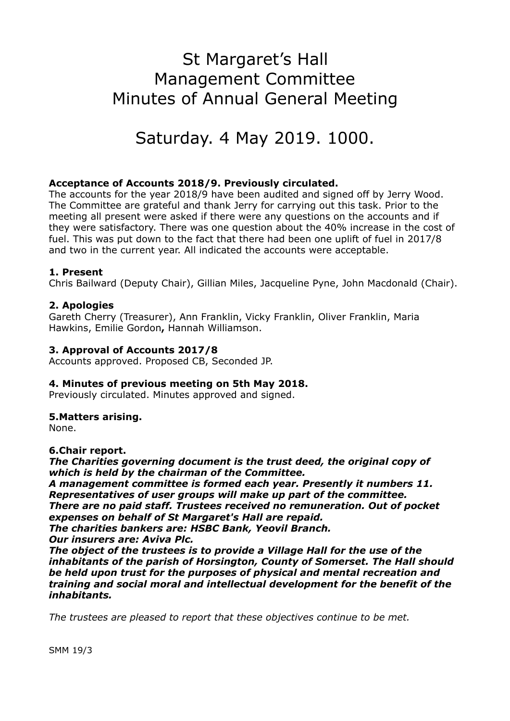# St Margaret's Hall Management Committee Minutes of Annual General Meeting

Saturday. 4 May 2019. 1000.

# **Acceptance of Accounts 2018/9. Previously circulated.**

The accounts for the year 2018/9 have been audited and signed off by Jerry Wood. The Committee are grateful and thank Jerry for carrying out this task. Prior to the meeting all present were asked if there were any questions on the accounts and if they were satisfactory. There was one question about the 40% increase in the cost of fuel. This was put down to the fact that there had been one uplift of fuel in 2017/8 and two in the current year. All indicated the accounts were acceptable.

# **1. Present**

Chris Bailward (Deputy Chair), Gillian Miles, Jacqueline Pyne, John Macdonald (Chair).

## **2. Apologies**

Gareth Cherry (Treasurer), Ann Franklin, Vicky Franklin, Oliver Franklin, Maria Hawkins, Emilie Gordon**,** Hannah Williamson.

## **3. Approval of Accounts 2017/8**

Accounts approved. Proposed CB, Seconded JP.

#### **4. Minutes of previous meeting on 5th May 2018.**

Previously circulated. Minutes approved and signed.

#### **5.Matters arising.**

None.

**6.Chair report.** 

*The Charities governing document is the trust deed, the original copy of which is held by the chairman of the Committee.* 

*A management committee is formed each year. Presently it numbers 11. Representatives of user groups will make up part of the committee. There are no paid staff. Trustees received no remuneration. Out of pocket expenses on behalf of St Margaret's Hall are repaid.* 

*The charities bankers are: HSBC Bank, Yeovil Branch.* 

*Our insurers are: Aviva Plc.* 

*The object of the trustees is to provide a Village Hall for the use of the inhabitants of the parish of Horsington, County of Somerset. The Hall should be held upon trust for the purposes of physical and mental recreation and training and social moral and intellectual development for the benefit of the inhabitants.* 

*The trustees are pleased to report that these objectives continue to be met.*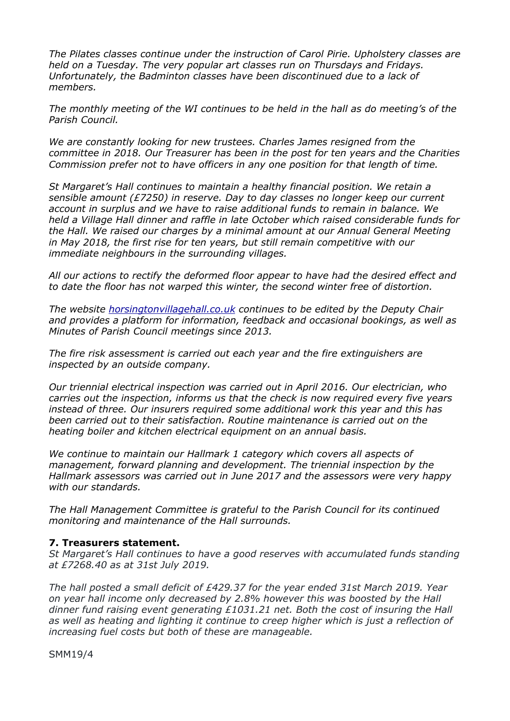*The Pilates classes continue under the instruction of Carol Pirie. Upholstery classes are held on a Tuesday. The very popular art classes run on Thursdays and Fridays. Unfortunately, the Badminton classes have been discontinued due to a lack of members.* 

*The monthly meeting of the WI continues to be held in the hall as do meeting's of the Parish Council.* 

*We are constantly looking for new trustees. Charles James resigned from the committee in 2018. Our Treasurer has been in the post for ten years and the Charities Commission prefer not to have officers in any one position for that length of time.* 

*St Margaret's Hall continues to maintain a healthy financial position. We retain a sensible amount (£7250) in reserve. Day to day classes no longer keep our current account in surplus and we have to raise additional funds to remain in balance. We held a Village Hall dinner and raffle in late October which raised considerable funds for the Hall. We raised our charges by a minimal amount at our Annual General Meeting in May 2018, the first rise for ten years, but still remain competitive with our immediate neighbours in the surrounding villages.* 

*All our actions to rectify the deformed floor appear to have had the desired effect and to date the floor has not warped this winter, the second winter free of distortion.* 

*The website [horsingtonvillagehall.co.uk](http://horsingtonvillagehall.co.uk) continues to be edited by the Deputy Chair and provides a platform for information, feedback and occasional bookings, as well as Minutes of Parish Council meetings since 2013.* 

*The fire risk assessment is carried out each year and the fire extinguishers are inspected by an outside company.* 

*Our triennial electrical inspection was carried out in April 2016. Our electrician, who carries out the inspection, informs us that the check is now required every five years instead of three. Our insurers required some additional work this year and this has been carried out to their satisfaction. Routine maintenance is carried out on the heating boiler and kitchen electrical equipment on an annual basis.* 

*We continue to maintain our Hallmark 1 category which covers all aspects of management, forward planning and development. The triennial inspection by the Hallmark assessors was carried out in June 2017 and the assessors were very happy with our standards.* 

*The Hall Management Committee is grateful to the Parish Council for its continued monitoring and maintenance of the Hall surrounds.* 

#### **7. Treasurers statement.**

*St Margaret's Hall continues to have a good reserves with accumulated funds standing at £7268.40 as at 31st July 2019.* 

*The hall posted a small deficit of £429.37 for the year ended 31st March 2019. Year on year hall income only decreased by 2.8% however this was boosted by the Hall dinner fund raising event generating £1031.21 net. Both the cost of insuring the Hall as well as heating and lighting it continue to creep higher which is just a reflection of increasing fuel costs but both of these are manageable.* 

SMM19/4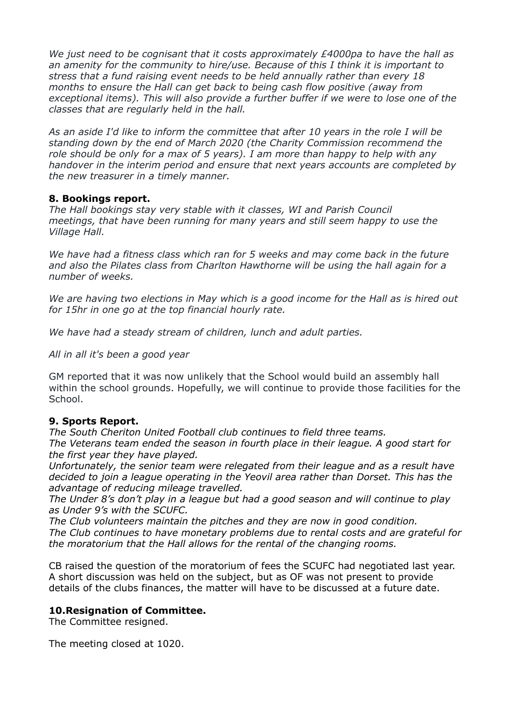*We just need to be cognisant that it costs approximately £4000pa to have the hall as an amenity for the community to hire/use. Because of this I think it is important to stress that a fund raising event needs to be held annually rather than every 18 months to ensure the Hall can get back to being cash flow positive (away from exceptional items). This will also provide a further buffer if we were to lose one of the classes that are regularly held in the hall.* 

*As an aside I'd like to inform the committee that after 10 years in the role I will be standing down by the end of March 2020 (the Charity Commission recommend the role should be only for a max of 5 years). I am more than happy to help with any handover in the interim period and ensure that next years accounts are completed by the new treasurer in a timely manner.* 

## **8. Bookings report.**

*The Hall bookings stay very stable with it classes, WI and Parish Council meetings, that have been running for many years and still seem happy to use the Village Hall.* 

*We have had a fitness class which ran for 5 weeks and may come back in the future and also the Pilates class from Charlton Hawthorne will be using the hall again for a number of weeks.* 

*We are having two elections in May which is a good income for the Hall as is hired out for 15hr in one go at the top financial hourly rate.* 

*We have had a steady stream of children, lunch and adult parties.* 

*All in all it's been a good year* 

GM reported that it was now unlikely that the School would build an assembly hall within the school grounds. Hopefully, we will continue to provide those facilities for the School.

# **9. Sports Report.**

*The South Cheriton United Football club continues to field three teams. The Veterans team ended the season in fourth place in their league. A good start for the first year they have played.* 

*Unfortunately, the senior team were relegated from their league and as a result have decided to join a league operating in the Yeovil area rather than Dorset. This has the advantage of reducing mileage travelled.* 

*The Under 8's don't play in a league but had a good season and will continue to play as Under 9's with the SCUFC.* 

*The Club volunteers maintain the pitches and they are now in good condition. The Club continues to have monetary problems due to rental costs and are grateful for the moratorium that the Hall allows for the rental of the changing rooms.* 

CB raised the question of the moratorium of fees the SCUFC had negotiated last year. A short discussion was held on the subject, but as OF was not present to provide details of the clubs finances, the matter will have to be discussed at a future date.

# **10.Resignation of Committee.**

The Committee resigned.

The meeting closed at 1020.